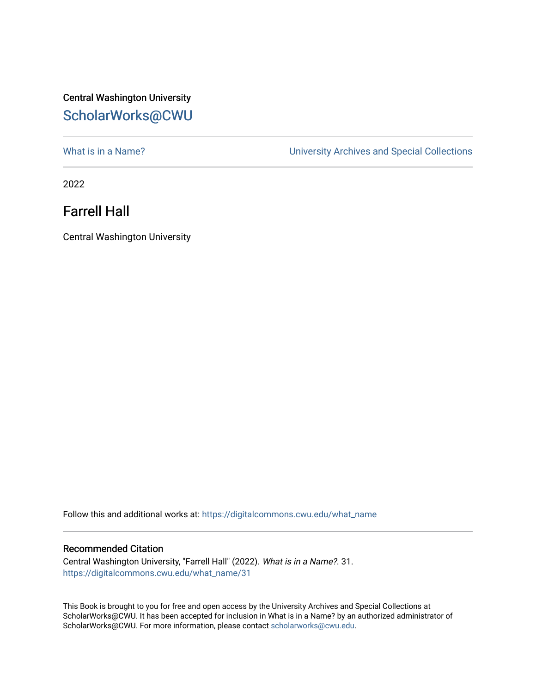## Central Washington University [ScholarWorks@CWU](https://digitalcommons.cwu.edu/)

What is in a Name?<br>
University Archives and Special Collections

2022

## Farrell Hall

Central Washington University

Follow this and additional works at: [https://digitalcommons.cwu.edu/what\\_name](https://digitalcommons.cwu.edu/what_name?utm_source=digitalcommons.cwu.edu%2Fwhat_name%2F31&utm_medium=PDF&utm_campaign=PDFCoverPages) 

## Recommended Citation

Central Washington University, "Farrell Hall" (2022). What is in a Name?. 31. [https://digitalcommons.cwu.edu/what\\_name/31](https://digitalcommons.cwu.edu/what_name/31?utm_source=digitalcommons.cwu.edu%2Fwhat_name%2F31&utm_medium=PDF&utm_campaign=PDFCoverPages) 

This Book is brought to you for free and open access by the University Archives and Special Collections at ScholarWorks@CWU. It has been accepted for inclusion in What is in a Name? by an authorized administrator of ScholarWorks@CWU. For more information, please contact [scholarworks@cwu.edu](mailto:scholarworks@cwu.edu).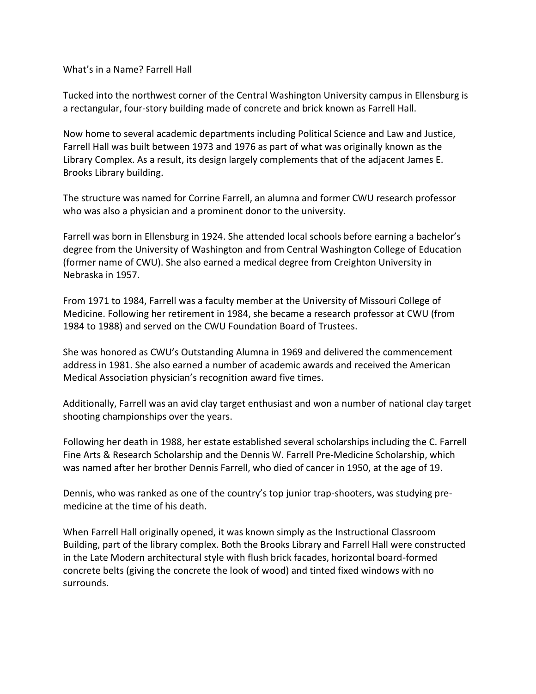What's in a Name? Farrell Hall

Tucked into the northwest corner of the Central Washington University campus in Ellensburg is a rectangular, four-story building made of concrete and brick known as Farrell Hall.

Now home to several academic departments including Political Science and Law and Justice, Farrell Hall was built between 1973 and 1976 as part of what was originally known as the Library Complex. As a result, its design largely complements that of the adjacent James E. Brooks Library building.

The structure was named for Corrine Farrell, an alumna and former CWU research professor who was also a physician and a prominent donor to the university.

Farrell was born in Ellensburg in 1924. She attended local schools before earning a bachelor's degree from the University of Washington and from Central Washington College of Education (former name of CWU). She also earned a medical degree from Creighton University in Nebraska in 1957.

From 1971 to 1984, Farrell was a faculty member at the University of Missouri College of Medicine. Following her retirement in 1984, she became a research professor at CWU (from 1984 to 1988) and served on the CWU Foundation Board of Trustees.

She was honored as CWU's Outstanding Alumna in 1969 and delivered the commencement address in 1981. She also earned a number of academic awards and received the American Medical Association physician's recognition award five times.

Additionally, Farrell was an avid clay target enthusiast and won a number of national clay target shooting championships over the years.

Following her death in 1988, her estate established several scholarships including the C. Farrell Fine Arts & Research Scholarship and the Dennis W. Farrell Pre-Medicine Scholarship, which was named after her brother Dennis Farrell, who died of cancer in 1950, at the age of 19.

Dennis, who was ranked as one of the country's top junior trap-shooters, was studying premedicine at the time of his death.

When Farrell Hall originally opened, it was known simply as the Instructional Classroom Building, part of the library complex. Both the Brooks Library and Farrell Hall were constructed in the Late Modern architectural style with flush brick facades, horizontal board-formed concrete belts (giving the concrete the look of wood) and tinted fixed windows with no surrounds.